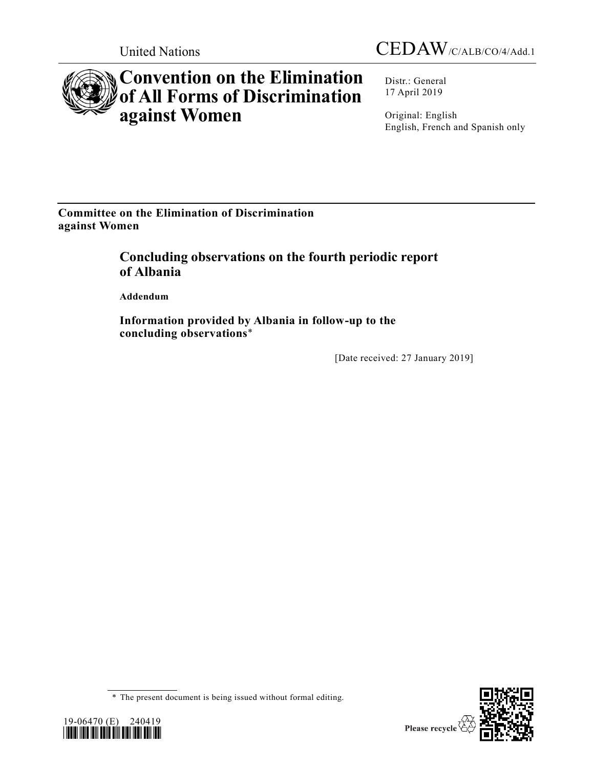



# **Convention on the Elimination of All Forms of Discrimination against Women**

Distr.: General 17 April 2019

Original: English English, French and Spanish only

**Committee on the Elimination of Discrimination against Women**

## **Concluding observations on the fourth periodic report of Albania**

**Addendum**

**Information provided by Albania in follow-up to the concluding observations**\*

[Date received: 27 January 2019]

<sup>\*</sup> The present document is being issued without formal editing.



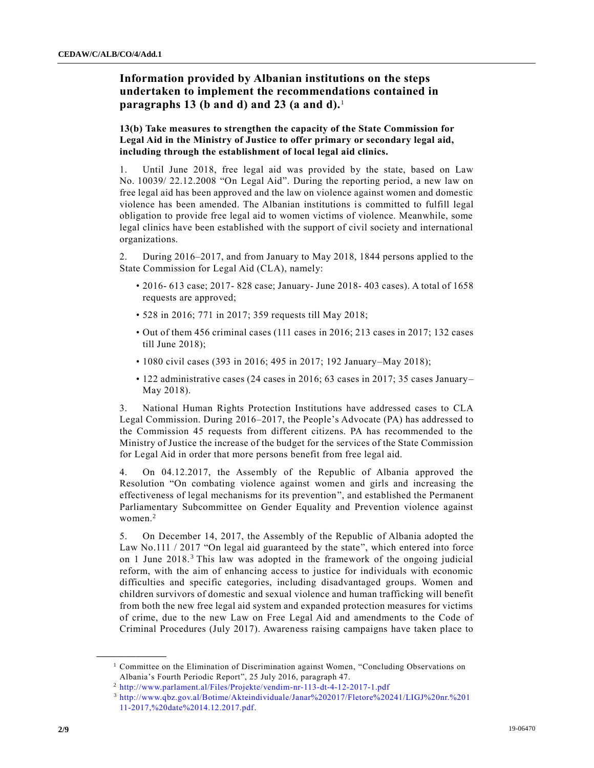### **Information provided by Albanian institutions on the steps undertaken to implement the recommendations contained in paragraphs 13 (b and d) and 23 (a and d).**<sup>1</sup>

**13(b) Take measures to strengthen the capacity of the State Commission for Legal Aid in the Ministry of Justice to offer primary or secondary legal aid, including through the establishment of local legal aid clinics.** 

1. Until June 2018, free legal aid was provided by the state, based on Law No. 10039/ 22.12.2008 "On Legal Aid". During the reporting period, a new law on free legal aid has been approved and the law on violence against women and domestic violence has been amended. The Albanian institutions is committed to fulfill legal obligation to provide free legal aid to women victims of violence. Meanwhile, some legal clinics have been established with the support of civil society and international organizations.

2. During 2016–2017, and from January to May 2018, 1844 persons applied to the State Commission for Legal Aid (CLA), namely:

- 2016- 613 case; 2017- 828 case; January- June 2018- 403 cases). A total of 1658 requests are approved;
- 528 in 2016; 771 in 2017; 359 requests till May 2018;
- Out of them 456 criminal cases (111 cases in 2016; 213 cases in 2017; 132 cases till June 2018);
- 1080 civil cases (393 in 2016; 495 in 2017; 192 January–May 2018);
- 122 administrative cases (24 cases in 2016; 63 cases in 2017; 35 cases January– May 2018).

3. National Human Rights Protection Institutions have addressed cases to CLA Legal Commission. During 2016–2017, the People's Advocate (PA) has addressed to the Commission 45 requests from different citizens. PA has recommended to the Ministry of Justice the increase of the budget for the services of the State Commission for Legal Aid in order that more persons benefit from free legal aid.

4. On 04.12.2017, the Assembly of the Republic of Albania approved the Resolution "On combating violence against women and girls and increasing the effectiveness of legal mechanisms for its prevention", and established the Permanent Parliamentary Subcommittee on Gender Equality and Prevention violence against women.<sup>2</sup>

5. On December 14, 2017, the Assembly of the Republic of Albania adopted the Law No.111 / 2017 "On legal aid guaranteed by the state", which entered into force on 1 June 2018.<sup>3</sup> This law was adopted in the framework of the ongoing judicial reform, with the aim of enhancing access to justice for individuals with economic difficulties and specific categories, including disadvantaged groups. Women and children survivors of domestic and sexual violence and human trafficking will benefit from both the new free legal aid system and expanded protection measures for victims of crime, due to the new Law on Free Legal Aid and amendments to the Code of Criminal Procedures (July 2017). Awareness raising campaigns have taken place to

<sup>1</sup> Committee on the Elimination of Discrimination against Women, "Concluding Observations on Albania's Fourth Periodic Report", 25 July 2016, paragraph 47.

<sup>2</sup> [http://www.parlament.al/Files/Projekte/vendim-nr-113-dt-4-12-2017-1.pdf](http://www.qbz.gov.al/Botime/Akteindividuale/Janar%202017/Fletore%20241/LIGJ%20nr.%20111-2017,%20date%2014.12.2017.pdf.)

<sup>3</sup> [http://www.qbz.gov.al/Botime/Akteindividuale/Janar%202017/Fletore%20241/LIGJ%20nr.%201](http://www.qbz.gov.al/Botime/Akteindividuale/Janar%202017/Fletore%20241/LIGJ%20nr.%20111-2017,%20date%2014.12.2017.pdf.) [11-2017,%20date%2014.12.2017.pdf.](http://www.qbz.gov.al/Botime/Akteindividuale/Janar%202017/Fletore%20241/LIGJ%20nr.%20111-2017,%20date%2014.12.2017.pdf.)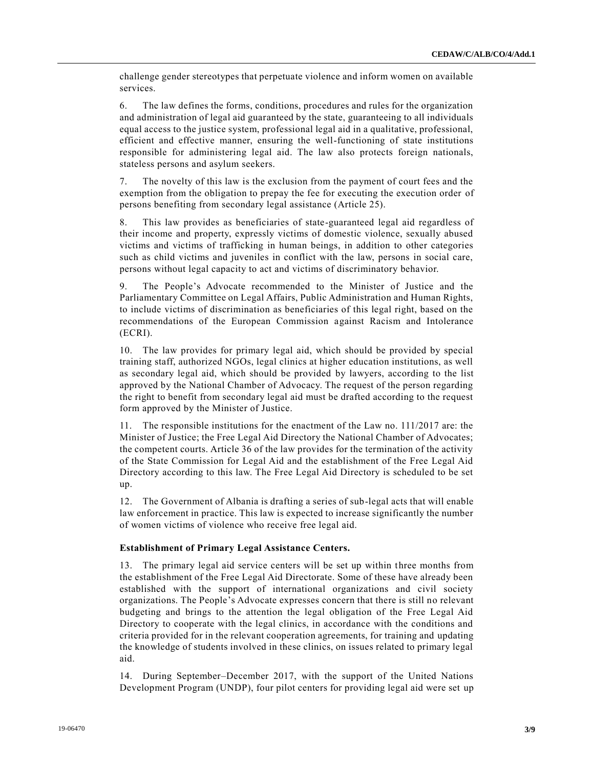challenge gender stereotypes that perpetuate violence and inform women on available services.

6. The law defines the forms, conditions, procedures and rules for the organization and administration of legal aid guaranteed by the state, guaranteeing to all individuals equal access to the justice system, professional legal aid in a qualitative, professional, efficient and effective manner, ensuring the well-functioning of state institutions responsible for administering legal aid. The law also protects foreign nationals, stateless persons and asylum seekers.

7. The novelty of this law is the exclusion from the payment of court fees and the exemption from the obligation to prepay the fee for executing the execution order of persons benefiting from secondary legal assistance (Article 25).

8. This law provides as beneficiaries of state-guaranteed legal aid regardless of their income and property, expressly victims of domestic violence, sexually abused victims and victims of trafficking in human beings, in addition to other categories such as child victims and juveniles in conflict with the law, persons in social care, persons without legal capacity to act and victims of discriminatory behavior.

9. The People's Advocate recommended to the Minister of Justice and the Parliamentary Committee on Legal Affairs, Public Administration and Human Rights, to include victims of discrimination as beneficiaries of this legal right, based on the recommendations of the European Commission against Racism and Intolerance (ECRI).

10. The law provides for primary legal aid, which should be provided by special training staff, authorized NGOs, legal clinics at higher education institutions, as well as secondary legal aid, which should be provided by lawyers, according to the list approved by the National Chamber of Advocacy. The request of the person regarding the right to benefit from secondary legal aid must be drafted according to the request form approved by the Minister of Justice.

11. The responsible institutions for the enactment of the Law no. 111/2017 are: the Minister of Justice; the Free Legal Aid Directory the National Chamber of Advocates; the competent courts. Article 36 of the law provides for the termination of the activity of the State Commission for Legal Aid and the establishment of the Free Legal Aid Directory according to this law. The Free Legal Aid Directory is scheduled to be set up.

12. The Government of Albania is drafting a series of sub-legal acts that will enable law enforcement in practice. This law is expected to increase significantly the number of women victims of violence who receive free legal aid.

#### **Establishment of Primary Legal Assistance Centers.**

13. The primary legal aid service centers will be set up within three months from the establishment of the Free Legal Aid Directorate. Some of these have already been established with the support of international organizations and civil society organizations. The People's Advocate expresses concern that there is still no relevant budgeting and brings to the attention the legal obligation of the Free Legal Aid Directory to cooperate with the legal clinics, in accordance with the conditions and criteria provided for in the relevant cooperation agreements, for training and updating the knowledge of students involved in these clinics, on issues related to primary legal aid.

14. During September–December 2017, with the support of the United Nations Development Program (UNDP), four pilot centers for providing legal aid were set up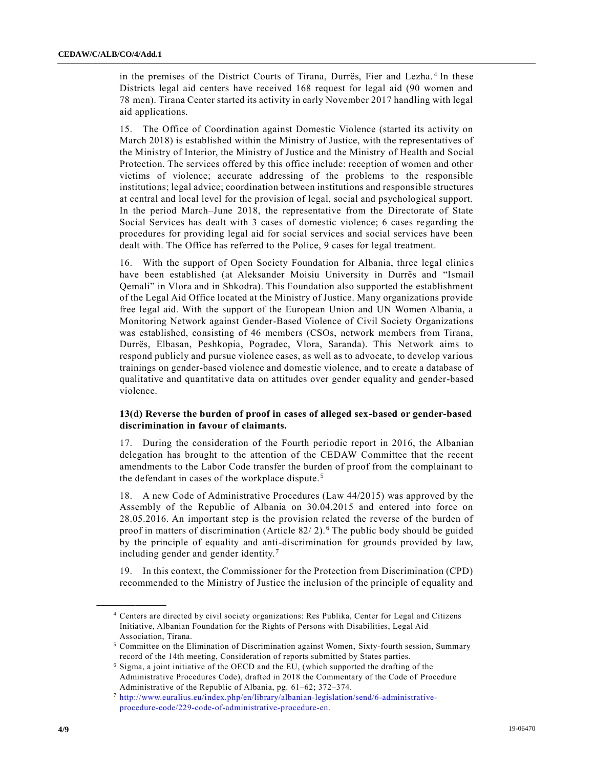in the premises of the District Courts of Tirana, Durrës, Fier and Lezha. <sup>4</sup> In these Districts legal aid centers have received 168 request for legal aid (90 women and 78 men). Tirana Center started its activity in early November 2017 handling with legal aid applications.

15. The Office of Coordination against Domestic Violence (started its activity on March 2018) is established within the Ministry of Justice, with the representatives of the Ministry of Interior, the Ministry of Justice and the Ministry of Health and Social Protection. The services offered by this office include: reception of women and other victims of violence; accurate addressing of the problems to the responsible institutions; legal advice; coordination between institutions and responsible structures at central and local level for the provision of legal, social and psychological support. In the period March–June 2018, the representative from the Directorate of State Social Services has dealt with 3 cases of domestic violence; 6 cases regarding the procedures for providing legal aid for social services and social services have been dealt with. The Office has referred to the Police, 9 cases for legal treatment.

16. With the support of Open Society Foundation for Albania, three legal clinic s have been established (at Aleksander Moisiu University in Durrës and "Ismail Qemali" in Vlora and in Shkodra). This Foundation also supported the establishment of the Legal Aid Office located at the Ministry of Justice. Many organizations provide free legal aid. With the support of the European Union and UN Women Albania, a Monitoring Network against Gender-Based Violence of Civil Society Organizations was established, consisting of 46 members (CSOs, network members from Tirana, Durrës, Elbasan, Peshkopia, Pogradec, Vlora, Saranda). This Network aims to respond publicly and pursue violence cases, as well as to advocate, to develop various trainings on gender-based violence and domestic violence, and to create a database of qualitative and quantitative data on attitudes over gender equality and gender-based violence.

#### **13(d) Reverse the burden of proof in cases of alleged sex-based or gender-based discrimination in favour of claimants.**

17. During the consideration of the Fourth periodic report in 2016, the Albanian delegation has brought to the attention of the CEDAW Committee that the recent amendments to the Labor Code transfer the burden of proof from the complainant to the defendant in cases of the workplace dispute. <sup>5</sup>

18. A new Code of Administrative Procedures (Law 44/2015) was approved by the Assembly of the Republic of Albania on 30.04.2015 and entered into force on 28.05.2016. An important step is the provision related the reverse of the burden of proof in matters of discrimination (Article 82/ 2). <sup>6</sup> The public body should be guided by the principle of equality and anti-discrimination for grounds provided by law, including gender and gender identity.<sup>7</sup>

19. In this context, the Commissioner for the Protection from Discrimination (CPD) recommended to the Ministry of Justice the inclusion of the principle of equality and

<sup>4</sup> Centers are directed by civil society organizations: Res Publika, Center for Legal and Citizens Initiative, Albanian Foundation for the Rights of Persons with Disabilities, Legal Aid Association, Tirana.

<sup>5</sup> Committee on the Elimination of Discrimination against Women, Sixty-fourth session, Summary record of the 14th meeting, Consideration of reports submitted by States parties.

<sup>6</sup> Sigma, a joint initiative of the OECD and the EU, (which supported the drafting of the Administrative Procedures Code), drafted in 2018 the Commentary of the Code of Procedure Administrative of the Republic of Albania, pg. 61–62; 372–374.

<sup>7</sup> [http://www.euralius.eu/index.php/en/library/albanian-legislation/send/6-administrative](http://www.euralius.eu/index.php/en/library/albanian-legislation/send/6-administrative-procedure-code/229-code-of-administrative-procedure-en)[procedure-code/229-code-of-administrative-procedure-en.](http://www.euralius.eu/index.php/en/library/albanian-legislation/send/6-administrative-procedure-code/229-code-of-administrative-procedure-en)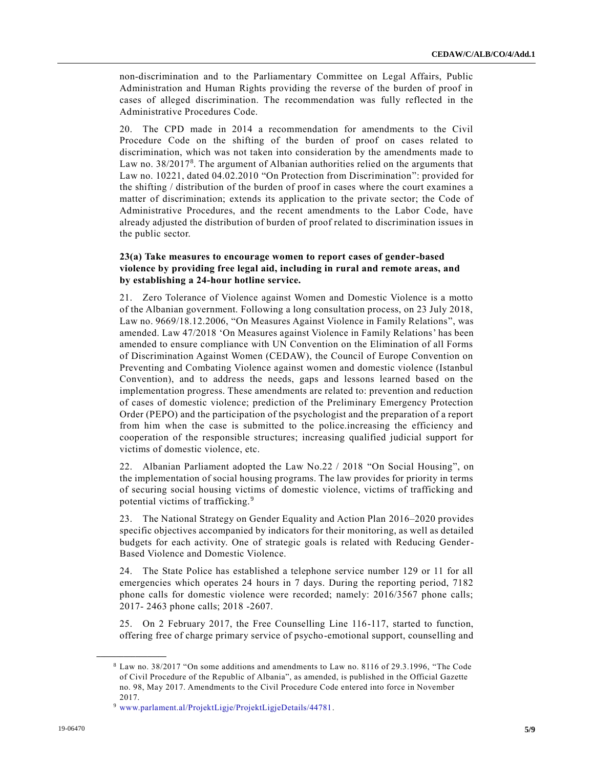non-discrimination and to the Parliamentary Committee on Legal Affairs, Public Administration and Human Rights providing the reverse of the burden of proof in cases of alleged discrimination. The recommendation was fully reflected in the Administrative Procedures Code.

20. The CPD made in 2014 a recommendation for amendments to the Civil Procedure Code on the shifting of the burden of proof on cases related to discrimination, which was not taken into consideration by the amendments made to Law no.  $38/2017<sup>8</sup>$ . The argument of Albanian authorities relied on the arguments that Law no. 10221, dated 04.02.2010 "On Protection from Discrimination": provided for the shifting / distribution of the burden of proof in cases where the court examines a matter of discrimination; extends its application to the private sector; the Code of Administrative Procedures, and the recent amendments to the Labor Code, have already adjusted the distribution of burden of proof related to discrimination issues in the public sector.

#### **23(a) Take measures to encourage women to report cases of gender-based violence by providing free legal aid, including in rural and remote areas, and by establishing a 24-hour hotline service.**

21. Zero Tolerance of Violence against Women and Domestic Violence is a motto of the Albanian government. Following a long consultation process, on 23 July 2018, Law no. 9669/18.12.2006, "On Measures Against Violence in Family Relations", was amended. Law 47/2018 'On Measures against Violence in Family Relations' has been amended to ensure compliance with UN Convention on the Elimination of all Forms of Discrimination Against Women (CEDAW), the Council of Europe Convention on Preventing and Combating Violence against women and domestic violence (Istanbul Convention), and to address the needs, gaps and lessons learned based on the implementation progress. These amendments are related to: prevention and reduction of cases of domestic violence; prediction of the Preliminary Emergency Protection Order (PEPO) and the participation of the psychologist and the preparation of a report from him when the case is submitted to the police.increasing the efficiency and cooperation of the responsible structures; increasing qualified judicial support for victims of domestic violence, etc.

22. Albanian Parliament adopted the Law No.22 / 2018 "On Social Housing", on the implementation of social housing programs. The law provides for priority in terms of securing social housing victims of domestic violence, victims of trafficking and potential victims of trafficking.<sup>9</sup>

23. The National Strategy on Gender Equality and Action Plan 2016–2020 provides specific objectives accompanied by indicators for their monitoring, as well as detailed budgets for each activity. One of strategic goals is related with Reducing Gender-Based Violence and Domestic Violence.

24. The State Police has established a telephone service number 129 or 11 for all emergencies which operates 24 hours in 7 days. During the reporting period, 7182 phone calls for domestic violence were recorded; namely: 2016/3567 phone calls; 2017- 2463 phone calls; 2018 -2607.

25. On 2 February 2017, the Free Counselling Line 116-117, started to function, offering free of charge primary service of psycho-emotional support, counselling and

<sup>8</sup> Law no. 38/2017 "On some additions and amendments to Law no. 8116 of 29.3.1996, "The Code of Civil Procedure of the Republic of Albania", as amended, is published in the Official Gazette no. 98, May 2017. Amendments to the Civil Procedure Code entered into force in November 2017.

<sup>9</sup> [www.parlament.al/ProjektLigje/ProjektLigjeDetails/44781.](http://www.parlament.al/ProjektLigje/ProjektLigjeDetails/44781)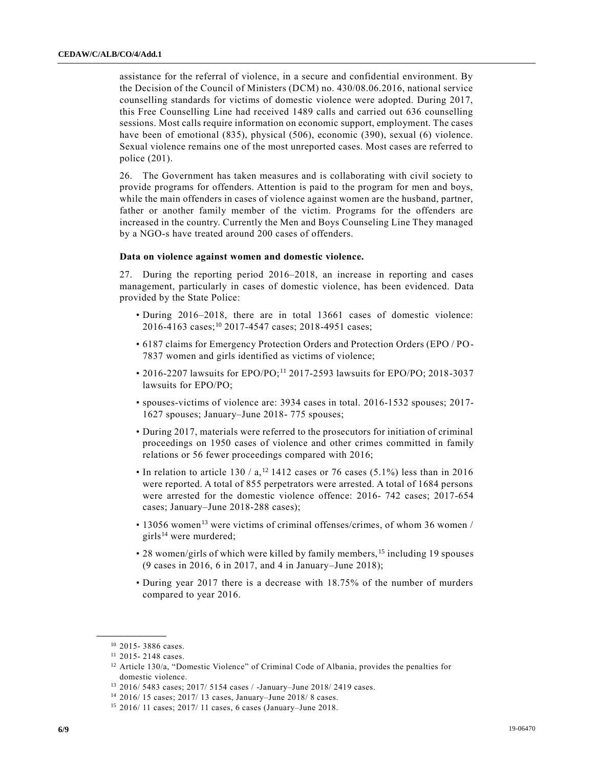assistance for the referral of violence, in a secure and confidential environment. By the Decision of the Council of Ministers (DCM) no. 430/08.06.2016, national service counselling standards for victims of domestic violence were adopted. During 2017, this Free Counselling Line had received 1489 calls and carried out 636 counselling sessions. Most calls require information on economic support, employment. The cases have been of emotional (835), physical (506), economic (390), sexual (6) violence. Sexual violence remains one of the most unreported cases. Most cases are referred to police (201).

26. The Government has taken measures and is collaborating with civil society to provide programs for offenders. Attention is paid to the program for men and boys, while the main offenders in cases of violence against women are the husband, partner, father or another family member of the victim. Programs for the offenders are increased in the country. Currently the Men and Boys Counseling Line They managed by a NGO-s have treated around 200 cases of offenders.

#### **Data on violence against women and domestic violence.**

27. During the reporting period 2016–2018, an increase in reporting and cases management, particularly in cases of domestic violence, has been evidenced. Data provided by the State Police:

- During 2016–2018, there are in total 13661 cases of domestic violence: 2016-4163 cases;<sup>10</sup> 2017-4547 cases; 2018-4951 cases;
- 6187 claims for Emergency Protection Orders and Protection Orders (EPO / PO-7837 women and girls identified as victims of violence;
- 2016-2207 lawsuits for EPO/PO;<sup>11</sup> 2017-2593 lawsuits for EPO/PO; 2018-3037 lawsuits for EPO/PO;
- spouses-victims of violence are: 3934 cases in total. 2016-1532 spouses; 2017- 1627 spouses; January–June 2018- 775 spouses;
- During 2017, materials were referred to the prosecutors for initiation of criminal proceedings on 1950 cases of violence and other crimes committed in family relations or 56 fewer proceedings compared with 2016;
- In relation to article 130 / a,<sup>12</sup> 1412 cases or 76 cases (5.1%) less than in 2016 were reported. A total of 855 perpetrators were arrested. A total of 1684 persons were arrested for the domestic violence offence: 2016- 742 cases; 2017-654 cases; January–June 2018-288 cases);
- $\cdot$  13056 women<sup>13</sup> were victims of criminal offenses/crimes, of whom 36 women / girls $^{14}$  were murdered;
- 28 women/girls of which were killed by family members, <sup>15</sup> including 19 spouses (9 cases in 2016, 6 in 2017, and 4 in January–June 2018);
- During year 2017 there is a decrease with 18.75% of the number of murders compared to year 2016.

<sup>10</sup> 2015- 3886 cases.

<sup>11</sup> 2015- 2148 cases.

<sup>&</sup>lt;sup>12</sup> Article 130/a, "Domestic Violence" of Criminal Code of Albania, provides the penalties for domestic violence.

<sup>13</sup> 2016/ 5483 cases; 2017/ 5154 cases / -January–June 2018/ 2419 cases.

<sup>14</sup> 2016/ 15 cases; 2017/ 13 cases, January–June 2018/ 8 cases.

<sup>15</sup> 2016/ 11 cases; 2017/ 11 cases, 6 cases (January–June 2018.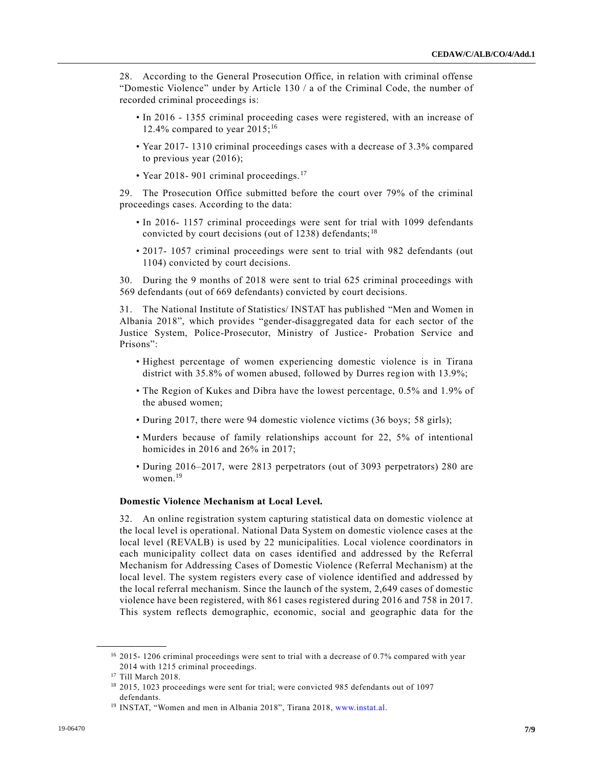28. According to the General Prosecution Office, in relation with criminal offense "Domestic Violence" under by Article 130 / a of the Criminal Code, the number of recorded criminal proceedings is:

- In 2016 1355 criminal proceeding cases were registered, with an increase of 12.4% compared to year  $2015$ ;<sup>16</sup>
- Year 2017- 1310 criminal proceedings cases with a decrease of 3.3% compared to previous year (2016);
- Year 2018- 901 criminal proceedings.<sup>17</sup>

29. The Prosecution Office submitted before the court over 79% of the criminal proceedings cases. According to the data:

- In 2016- 1157 criminal proceedings were sent for trial with 1099 defendants convicted by court decisions (out of 1238) defendants;  $^{18}$
- 2017- 1057 criminal proceedings were sent to trial with 982 defendants (out 1104) convicted by court decisions.

30. During the 9 months of 2018 were sent to trial 625 criminal proceedings with 569 defendants (out of 669 defendants) convicted by court decisions.

31. The National Institute of Statistics/ INSTAT has published "Men and Women in Albania 2018", which provides "gender-disaggregated data for each sector of the Justice System, Police-Prosecutor, Ministry of Justice- Probation Service and Prisons":

- Highest percentage of women experiencing domestic violence is in Tirana district with 35.8% of women abused, followed by Durres region with 13.9%;
- The Region of Kukes and Dibra have the lowest percentage, 0.5% and 1.9% of the abused women;
- During 2017, there were 94 domestic violence victims (36 boys; 58 girls);
- Murders because of family relationships account for 22, 5% of intentional homicides in 2016 and 26% in 2017;
- During 2016–2017, were 2813 perpetrators (out of 3093 perpetrators) 280 are women.<sup>19</sup>

#### **Domestic Violence Mechanism at Local Level.**

32. An online registration system capturing statistical data on domestic violence at the local level is operational. National Data System on domestic violence cases at the local level (REVALB) is used by 22 municipalities. Local violence coordinators in each municipality collect data on cases identified and addressed by the Referral Mechanism for Addressing Cases of Domestic Violence (Referral Mechanism) at the local level. The system registers every case of violence identified and addressed by the local referral mechanism. Since the launch of the system, 2,649 cases of domestic violence have been registered, with 861 cases registered during 2016 and 758 in 2017. This system reflects demographic, economic, social and geographic data for the

<sup>&</sup>lt;sup>16</sup> 2015- 1206 criminal proceedings were sent to trial with a decrease of 0.7% compared with year 2014 with 1215 criminal proceedings.

<sup>17</sup> Till March 2018.

<sup>&</sup>lt;sup>18</sup> 2015, 1023 proceedings were sent for trial; were convicted 985 defendants out of 1097 defendants.

<sup>&</sup>lt;sup>19</sup> INSTAT, "Women and men in Albania 2018", Tirana 2018, [www.instat.al.](http://www.instat.al/)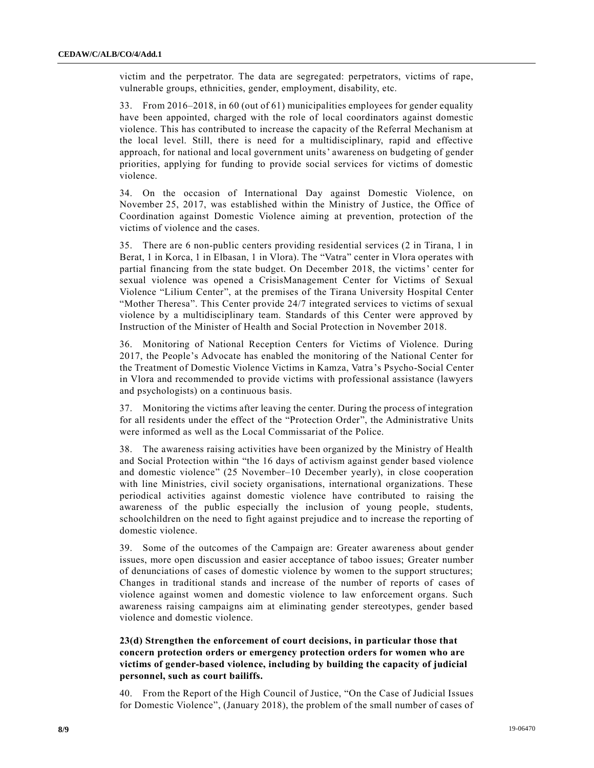victim and the perpetrator. The data are segregated: perpetrators, victims of rape, vulnerable groups, ethnicities, gender, employment, disability, etc.

33. From 2016–2018, in 60 (out of 61) municipalities employees for gender equality have been appointed, charged with the role of local coordinators against domestic violence. This has contributed to increase the capacity of the Referral Mechanism at the local level. Still, there is need for a multidisciplinary, rapid and effective approach, for national and local government units' awareness on budgeting of gender priorities, applying for funding to provide social services for victims of domestic violence.

34. On the occasion of International Day against Domestic Violence, on November 25, 2017, was established within the Ministry of Justice, the Office of Coordination against Domestic Violence aiming at prevention, protection of the victims of violence and the cases.

35. There are 6 non-public centers providing residential services (2 in Tirana, 1 in Berat, 1 in Korca, 1 in Elbasan, 1 in Vlora). The "Vatra" center in Vlora operates with partial financing from the state budget. On December 2018, the victims' center for sexual violence was opened a CrisisManagement Center for Victims of Sexual Violence "Lilium Center", at the premises of the Tirana University Hospital Center "Mother Theresa". This Center provide 24/7 integrated services to victims of sexual violence by a multidisciplinary team. Standards of this Center were approved by Instruction of the Minister of Health and Social Protection in November 2018.

36. Monitoring of National Reception Centers for Victims of Violence. During 2017, the People's Advocate has enabled the monitoring of the National Center for the Treatment of Domestic Violence Victims in Kamza, Vatra's Psycho-Social Center in Vlora and recommended to provide victims with professional assistance (lawyers and psychologists) on a continuous basis.

37. Monitoring the victims after leaving the center. During the process of integration for all residents under the effect of the "Protection Order", the Administrative Units were informed as well as the Local Commissariat of the Police.

38. The awareness raising activities have been organized by the Ministry of Health and Social Protection within "the 16 days of activism against gender based violence and domestic violence" (25 November–10 December yearly), in close cooperation with line Ministries, civil society organisations, international organizations. These periodical activities against domestic violence have contributed to raising the awareness of the public especially the inclusion of young people, students, schoolchildren on the need to fight against prejudice and to increase the reporting of domestic violence.

39. Some of the outcomes of the Campaign are: Greater awareness about gender issues, more open discussion and easier acceptance of taboo issues; Greater number of denunciations of cases of domestic violence by women to the support structures; Changes in traditional stands and increase of the number of reports of cases of violence against women and domestic violence to law enforcement organs. Such awareness raising campaigns aim at eliminating gender stereotypes, gender based violence and domestic violence.

#### **23(d) Strengthen the enforcement of court decisions, in particular those that concern protection orders or emergency protection orders for women who are victims of gender-based violence, including by building the capacity of judicial personnel, such as court bailiffs.**

40. From the Report of the High Council of Justice, "On the Case of Judicial Issues for Domestic Violence", (January 2018), the problem of the small number of cases of